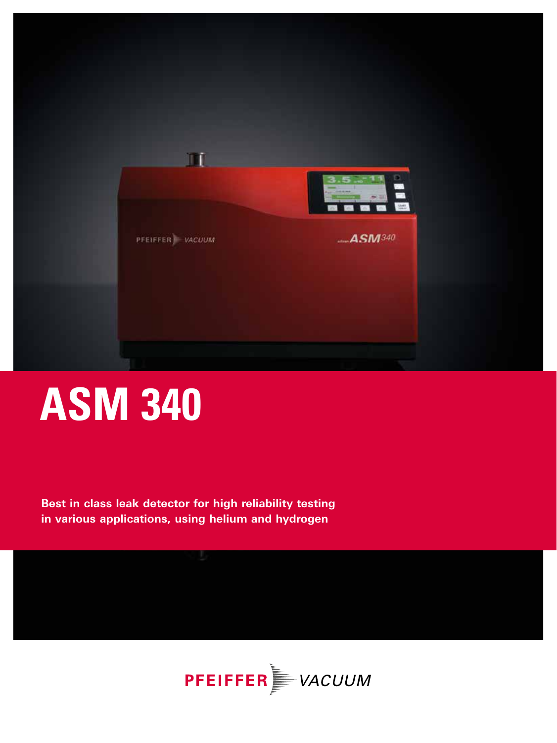

# **ASM 340**

**Best in class leak detector for high reliability testing in various applications, using helium and hydrogen** 

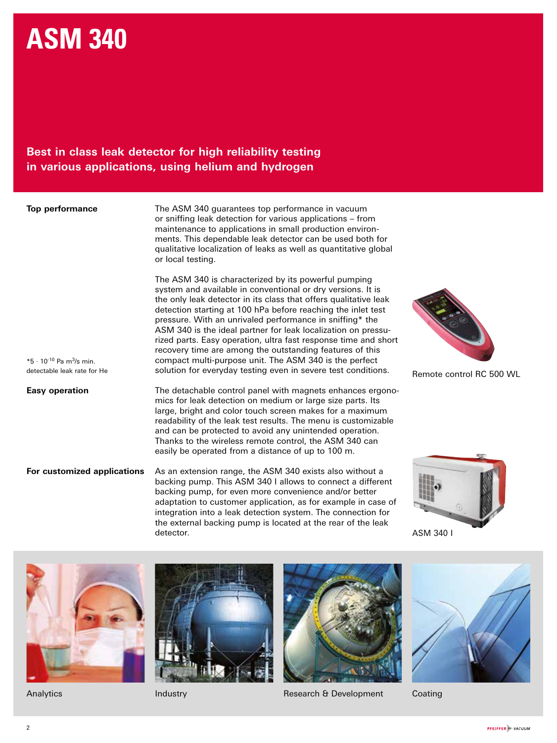# **ASM 340**

**Best in class leak detector for high reliability testing in various applications, using helium and hydrogen** 

| Top performance |
|-----------------|
|                 |

 $*5 \cdot 10^{-10}$  Pa m<sup>3</sup>/s min. detectable leak rate for He The ASM 340 guarantees top performance in vacuum or sniffing leak detection for various applications – from maintenance to applications in small production environments. This dependable leak detector can be used both for qualitative localization of leaks as well as quantitative global or local testing.

The ASM 340 is characterized by its powerful pumping system and available in conventional or dry versions. It is the only leak detector in its class that offers qualitative leak detection starting at 100 hPa before reaching the inlet test pressure. With an unrivaled performance in sniffing\* the ASM 340 is the ideal partner for leak localization on pressurized parts. Easy operation, ultra fast response time and short recovery time are among the outstanding features of this compact multi-purpose unit. The ASM 340 is the perfect solution for everyday testing even in severe test conditions.

**Easy operation** The detachable control panel with magnets enhances ergonomics for leak detection on medium or large size parts. Its large, bright and color touch screen makes for a maximum readability of the leak test results. The menu is customizable and can be protected to avoid any unintended operation. Thanks to the wireless remote control, the ASM 340 can easily be operated from a distance of up to 100 m.

**For customized applications** As an extension range, the ASM 340 exists also without a backing pump. This ASM 340 I allows to connect a different backing pump, for even more convenience and/or better adaptation to customer application, as for example in case of integration into a leak detection system. The connection for the external backing pump is located at the rear of the leak detector.

Remote control RC 500 WL



ASM 340 I







Analytics **Industry** Industry Research & Development Coating

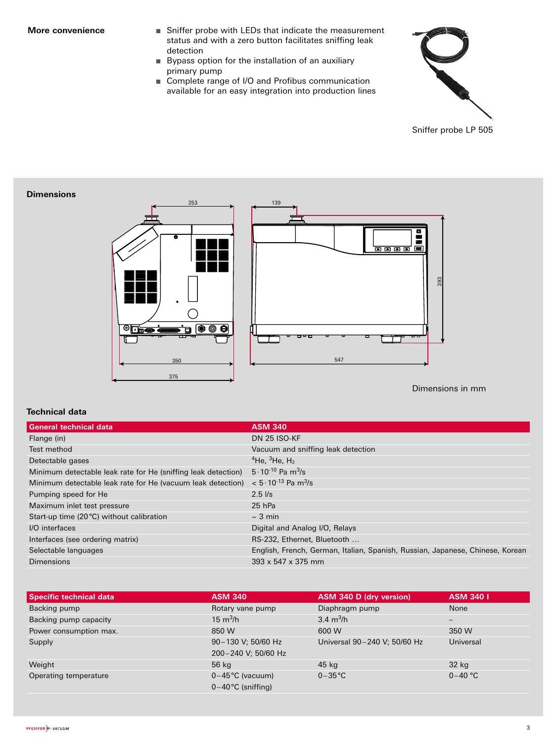- **More convenience Sniffer probe with LEDs that indicate the measurement** status and with a zero button facilitates sniffing leak detection
	- Bypass option for the installation of an auxiliary primary pump
	- Complete range of I/O and Profibus communication available for an easy integration into production lines



#### **Dimensions**





Dimensions in mm

#### **Technical data**

| <b>General technical data</b>                                 | <b>ASM 340</b>                                                                |  |  |
|---------------------------------------------------------------|-------------------------------------------------------------------------------|--|--|
| Flange (in)                                                   | <b>DN 25 ISO-KF</b>                                                           |  |  |
| Test method                                                   | Vacuum and sniffing leak detection                                            |  |  |
| Detectable gases                                              | <sup>4</sup> He, <sup>3</sup> He, $H_2$                                       |  |  |
| Minimum detectable leak rate for He (sniffing leak detection) | $5 \cdot 10^{-10}$ Pa m <sup>3</sup> /s                                       |  |  |
| Minimum detectable leak rate for He (vacuum leak detection)   | $< 5.10^{-13}$ Pa m <sup>3</sup> /s                                           |  |  |
| Pumping speed for He                                          | $2.5$ $1/s$                                                                   |  |  |
| Maximum inlet test pressure                                   | $25$ hPa                                                                      |  |  |
| Start-up time (20 °C) without calibration                     | $\sim$ 3 min                                                                  |  |  |
| I/O interfaces                                                | Digital and Analog I/O, Relays                                                |  |  |
| Interfaces (see ordering matrix)                              | RS-232, Ethernet, Bluetooth                                                   |  |  |
| Selectable languages                                          | English, French, German, Italian, Spanish, Russian, Japanese, Chinese, Korean |  |  |
| Dimensions                                                    | $393 \times 547 \times 375$ mm                                                |  |  |

| <b>Specific technical data</b> | <b>ASM 340</b>       | ASM 340 D (dry version)      | <b>ASM 340 I</b> |
|--------------------------------|----------------------|------------------------------|------------------|
| Backing pump                   | Rotary vane pump     | Diaphragm pump               | None             |
| Backing pump capacity          | $15 \text{ m}^3/h$   | 3.4 $m^3/h$                  | $-$              |
| Power consumption max.         | 850 W                | 600 W                        | 350 W            |
| Supply                         | 90-130 V; 50/60 Hz   | Universal 90-240 V; 50/60 Hz | Universal        |
|                                | 200-240 V; 50/60 Hz  |                              |                  |
| Weight                         | 56 kg                | 45 kg                        | 32 kg            |
| Operating temperature          | $0-45$ °C (vacuum)   | $0-35\degree C$              | $0 - 40$ °C      |
|                                | $0-40$ °C (sniffing) |                              |                  |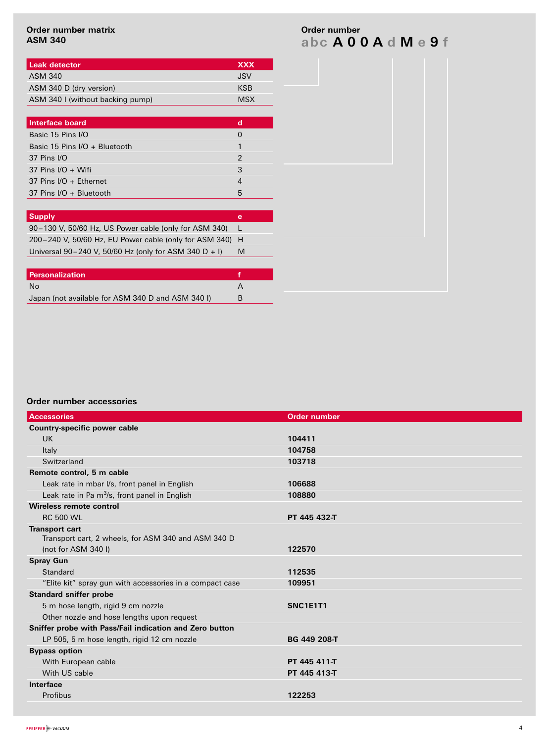#### **Order number matrix ASM 340**

| <b>I Leak detector</b>           | <b>XXX</b> |
|----------------------------------|------------|
| ASM 340                          | .JSV       |
| ASM 340 D (dry version)          | KSB        |
| ASM 340 I (without backing pump) | <b>MSX</b> |

| <b>Interface board</b>                                   | d              |
|----------------------------------------------------------|----------------|
| Basic 15 Pins I/O                                        | $\Omega$       |
| Basic 15 Pins I/O + Bluetooth                            |                |
| 37 Pins I/O                                              | $\overline{2}$ |
| 37 Pins $I/O + Wifi$                                     | 3              |
| 37 Pins I/O + Ethernet                                   | 4              |
| 37 Pins I/O + Bluetooth                                  | 5              |
|                                                          |                |
|                                                          |                |
| <b>Supply</b>                                            | e              |
| 90–130 V, 50/60 Hz, US Power cable (only for ASM 340)    |                |
| 200-240 V, 50/60 Hz, EU Power cable (only for ASM 340) H |                |
| Universal 90-240 V, 50/60 Hz (only for ASM 340 D + I)    | M              |
|                                                          |                |
| <b>Personalization</b>                                   | f              |
| No.                                                      | A              |

**Order number accessories**

| <b>Accessories</b>                                        | <b>Order number</b> |
|-----------------------------------------------------------|---------------------|
| <b>Country-specific power cable</b>                       |                     |
| UK.                                                       | 104411              |
| Italy                                                     | 104758              |
| Switzerland                                               | 103718              |
| Remote control, 5 m cable                                 |                     |
| Leak rate in mbar I/s, front panel in English             | 106688              |
| Leak rate in Pa m <sup>3</sup> /s, front panel in English | 108880              |
| Wireless remote control                                   |                     |
| <b>RC 500 WL</b>                                          | PT 445 432-T        |
| <b>Transport cart</b>                                     |                     |
| Transport cart, 2 wheels, for ASM 340 and ASM 340 D       |                     |
| (not for ASM 340 I)                                       | 122570              |
| <b>Spray Gun</b>                                          |                     |
| Standard                                                  | 112535              |
| "Elite kit" spray gun with accessories in a compact case  | 109951              |
| <b>Standard sniffer probe</b>                             |                     |
| 5 m hose length, rigid 9 cm nozzle                        | SNC1E1T1            |
| Other nozzle and hose lengths upon request                |                     |
| Sniffer probe with Pass/Fail indication and Zero button   |                     |
| LP 505, 5 m hose length, rigid 12 cm nozzle               | BG 449 208-T        |
| <b>Bypass option</b>                                      |                     |
| With European cable                                       | PT 445 411-T        |
| With US cable                                             | PT 445 413-T        |
| Interface                                                 |                     |
| Profibus                                                  | 122253              |
|                                                           |                     |

**abc A 0 0 A d M e 9 f Order number**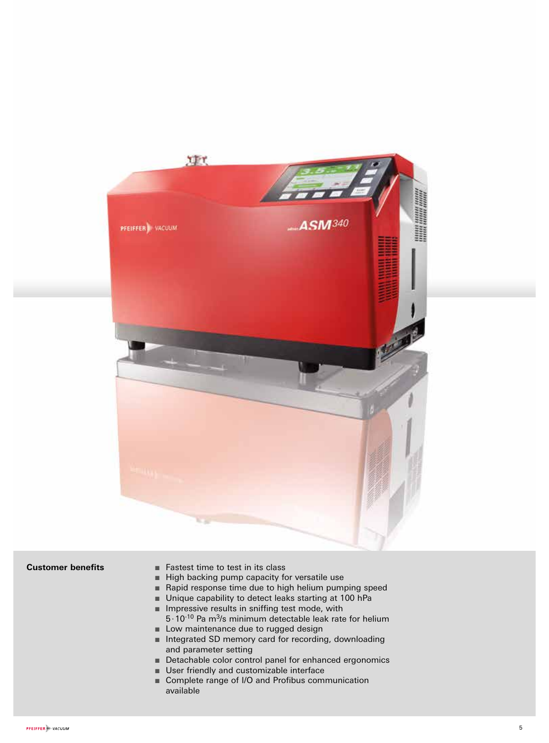

#### **Customer benefits**

- Fastest time to test in its class
- High backing pump capacity for versatile use
- Rapid response time due to high helium pumping speed
- Unique capability to detect leaks starting at 100 hPa<br>■ Impressive results in sniffing test mode, with
- 
- **IMPRESS** Impressive results in sniffing test mode, with  $5.10^{-10}$  Pa m<sup>3</sup>/s minimum detectable leak rate for helium
- Low maintenance due to rugged design
- Integrated SD memory card for recording, downloading and parameter setting
- Detachable color control panel for enhanced ergonomics
- User friendly and customizable interface
- Complete range of I/O and Profibus communication available